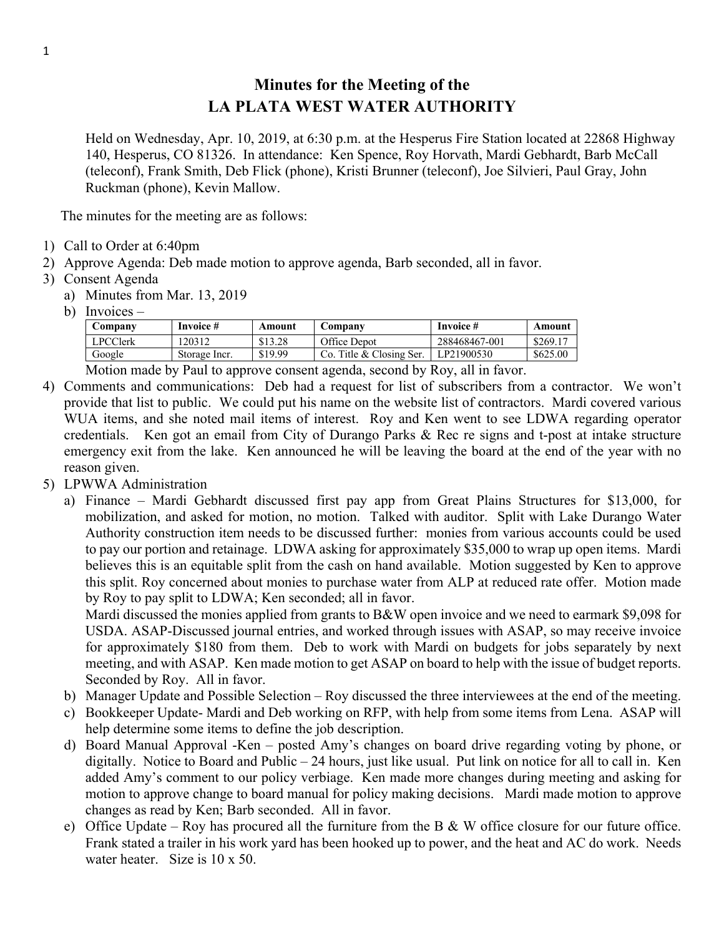## **Minutes for the Meeting of the LA PLATA WEST WATER AUTHORITY**

Held on Wednesday, Apr. 10, 2019, at 6:30 p.m. at the Hesperus Fire Station located at 22868 Highway 140, Hesperus, CO 81326. In attendance: Ken Spence, Roy Horvath, Mardi Gebhardt, Barb McCall (teleconf), Frank Smith, Deb Flick (phone), Kristi Brunner (teleconf), Joe Silvieri, Paul Gray, John Ruckman (phone), Kevin Mallow.

The minutes for the meeting are as follows:

- 1) Call to Order at 6:40pm
- 2) Approve Agenda: Deb made motion to approve agenda, Barb seconded, all in favor.
- 3) Consent Agenda
	- a) Minutes from Mar. 13, 2019
	- b) Invoices –

| Company         | Invoice #     | Amount  | Company                  | Invoice #     | Amount   |
|-----------------|---------------|---------|--------------------------|---------------|----------|
| <b>LPCClerk</b> | 120312        | \$13.28 | Office Depot             | 288468467-001 | \$269.17 |
| Google          | Storage Incr. | \$19.99 | Co. Title & Closing Ser. | LP21900530    | \$625.00 |
| $\mathbf{r}$ .  |               |         |                          |               |          |

Motion made by Paul to approve consent agenda, second by Roy, all in favor.

- 4) Comments and communications: Deb had a request for list of subscribers from a contractor. We won't provide that list to public. We could put his name on the website list of contractors. Mardi covered various WUA items, and she noted mail items of interest. Roy and Ken went to see LDWA regarding operator credentials. Ken got an email from City of Durango Parks & Rec re signs and t-post at intake structure emergency exit from the lake. Ken announced he will be leaving the board at the end of the year with no reason given.
- 5) LPWWA Administration
	- a) Finance Mardi Gebhardt discussed first pay app from Great Plains Structures for \$13,000, for mobilization, and asked for motion, no motion. Talked with auditor. Split with Lake Durango Water Authority construction item needs to be discussed further: monies from various accounts could be used to pay our portion and retainage. LDWA asking for approximately \$35,000 to wrap up open items. Mardi believes this is an equitable split from the cash on hand available. Motion suggested by Ken to approve this split. Roy concerned about monies to purchase water from ALP at reduced rate offer. Motion made by Roy to pay split to LDWA; Ken seconded; all in favor.

Mardi discussed the monies applied from grants to B&W open invoice and we need to earmark \$9,098 for USDA. ASAP-Discussed journal entries, and worked through issues with ASAP, so may receive invoice for approximately \$180 from them. Deb to work with Mardi on budgets for jobs separately by next meeting, and with ASAP. Ken made motion to get ASAP on board to help with the issue of budget reports. Seconded by Roy. All in favor.

- b) Manager Update and Possible Selection Roy discussed the three interviewees at the end of the meeting.
- c) Bookkeeper Update- Mardi and Deb working on RFP, with help from some items from Lena. ASAP will help determine some items to define the job description.
- d) Board Manual Approval -Ken posted Amy's changes on board drive regarding voting by phone, or digitally. Notice to Board and Public – 24 hours, just like usual. Put link on notice for all to call in. Ken added Amy's comment to our policy verbiage. Ken made more changes during meeting and asking for motion to approve change to board manual for policy making decisions. Mardi made motion to approve changes as read by Ken; Barb seconded. All in favor.
- e) Office Update Roy has procured all the furniture from the B  $&$  W office closure for our future office. Frank stated a trailer in his work yard has been hooked up to power, and the heat and AC do work. Needs water heater. Size is  $10 \times 50$ .